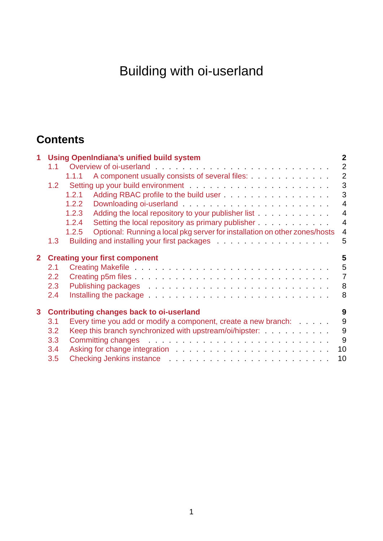# Building with oi-userland

# **Contents**

| $\mathbf{1}$                                                    | <b>Using OpenIndiana's unified build system</b> |                                                                                                                                                                                                                                |                |  |  |
|-----------------------------------------------------------------|-------------------------------------------------|--------------------------------------------------------------------------------------------------------------------------------------------------------------------------------------------------------------------------------|----------------|--|--|
|                                                                 | 1.1                                             |                                                                                                                                                                                                                                | 2              |  |  |
|                                                                 |                                                 | A component usually consists of several files:<br>1.1.1                                                                                                                                                                        | 2              |  |  |
|                                                                 | 1.2                                             |                                                                                                                                                                                                                                | 3              |  |  |
|                                                                 |                                                 | Adding RBAC profile to the build user<br>1, 2, 1                                                                                                                                                                               | 3              |  |  |
|                                                                 |                                                 | 1.2.2                                                                                                                                                                                                                          | $\overline{4}$ |  |  |
|                                                                 |                                                 | 1.2.3                                                                                                                                                                                                                          | $\overline{4}$ |  |  |
|                                                                 |                                                 | Setting the local repository as primary publisher<br>1.2.4                                                                                                                                                                     | $\overline{4}$ |  |  |
|                                                                 |                                                 | Optional: Running a local pkg server for installation on other zones/hosts<br>1.2.5                                                                                                                                            | $\overline{4}$ |  |  |
|                                                                 | 1.3 <sub>2</sub>                                | Building and installing your first packages entitled and installing your first packages                                                                                                                                        | 5              |  |  |
| 2 Creating your first component                                 |                                                 |                                                                                                                                                                                                                                |                |  |  |
|                                                                 | 2.1                                             |                                                                                                                                                                                                                                | 5              |  |  |
|                                                                 | $2.2^{\circ}$                                   |                                                                                                                                                                                                                                | $\overline{7}$ |  |  |
|                                                                 | 2.3                                             |                                                                                                                                                                                                                                | 8              |  |  |
|                                                                 | 2.4                                             | Installing the package $\ldots \ldots \ldots \ldots \ldots \ldots \ldots \ldots \ldots$                                                                                                                                        | 8              |  |  |
| $\mathbf{3}$<br><b>Contributing changes back to oi-userland</b> |                                                 |                                                                                                                                                                                                                                |                |  |  |
|                                                                 | 3.1                                             | Every time you add or modify a component, create a new branch:                                                                                                                                                                 | 9              |  |  |
|                                                                 | 3.2                                             | Keep this branch synchronized with upstream/oi/hipster:                                                                                                                                                                        | 9              |  |  |
|                                                                 | 3.3                                             |                                                                                                                                                                                                                                | 9              |  |  |
|                                                                 | 3.4                                             |                                                                                                                                                                                                                                | 10             |  |  |
|                                                                 | 3.5                                             | Checking Jenkins instance entitled and a series of the contract of the contract of the contract of the contract of the contract of the contract of the contract of the contract of the contract of the contract of the contrac | 10             |  |  |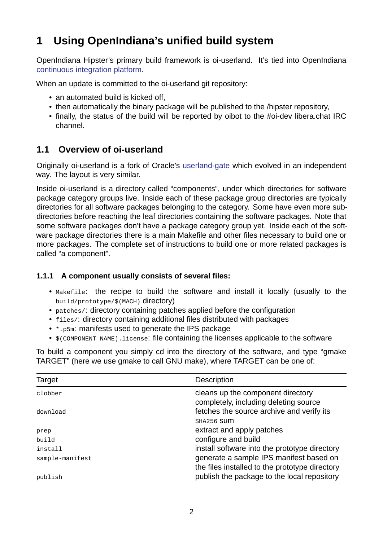# **1 Using OpenIndiana's unified build system**

OpenIndiana Hipster's primary build framework is oi-userland. It's tied into OpenIndiana continuous integration platform.

<span id="page-1-0"></span>When an update is committed to the oi-userland git repository:

- [an automated build is kick](https://hipster.openindiana.org/jenkins)ed off,
- then automatically the binary package will be published to the /hipster repository,
- finally, the status of the build will be reported by oibot to the #oi-dev libera.chat IRC channel.

# **1.1 Overview of oi-userland**

<span id="page-1-1"></span>Originally oi-userland is a fork of Oracle's userland-gate which evolved in an independent way. The layout is very similar.

Inside oi-userland is a directory called "components", under which directories for software package category groups live. Inside each [of these pack](https://github.com/oracle/solaris-userland/)age group directories are typically directories for all software packages belonging to the category. Some have even more subdirectories before reaching the leaf directories containing the software packages. Note that some software packages don't have a package category group yet. Inside each of the software package directories there is a main Makefile and other files necessary to build one or more packages. The complete set of instructions to build one or more related packages is called "a component".

## **1.1.1 A component usually consists of several files:**

- Makefile: the recipe to build the software and install it locally (usually to the build/prototype/\$(MACH) directory)
- <span id="page-1-2"></span>• patches/: directory containing patches applied before the configuration
- files/: directory containing additional files distributed with packages
- \*.p5m: manifests used to generate the IPS package
- \$(COMPONENT\_NAME).license: file containing the licenses applicable to the software

To build a component you simply cd into the directory of the software, and type "gmake TARGET" (here we use gmake to call GNU make), where TARGET can be one of:

| Target          | Description                                                                               |
|-----------------|-------------------------------------------------------------------------------------------|
| clobber         | cleans up the component directory<br>completely, including deleting source                |
| download        | fetches the source archive and verify its                                                 |
|                 | SHA256 SUM                                                                                |
| prep            | extract and apply patches                                                                 |
| build           | configure and build                                                                       |
| install         | install software into the prototype directory                                             |
| sample-manifest | generate a sample IPS manifest based on<br>the files installed to the prototype directory |
| publish         | publish the package to the local repository                                               |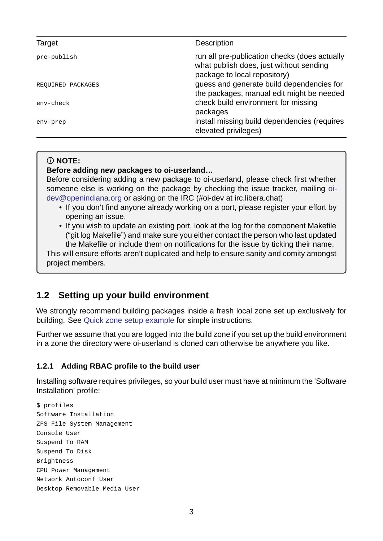| Target            | Description                                                                                                              |
|-------------------|--------------------------------------------------------------------------------------------------------------------------|
| pre-publish       | run all pre-publication checks (does actually<br>what publish does, just without sending<br>package to local repository) |
| REQUIRED_PACKAGES | guess and generate build dependencies for<br>the packages, manual edit might be needed                                   |
| env-check         | check build environment for missing<br>packages                                                                          |
| env-prep          | install missing build dependencies (requires<br>elevated privileges)                                                     |

### **NOTE:**

### Before adding new packages to oi-userland...

Before considering adding a new package to oi-userland, please check first whether someone else is working on the package by checking the issue tracker, mailing oidev@openindiana.org or asking on the IRC (#oi-dev at irc.libera.chat)

- If you don't find anyone already working on a port, please register your effort by opening an issue.
- [If you wish to upd](mailto:oi-dev@openindiana.org)ate an existing port, look at the log for the component Makef[ile](mailto:oi-dev@openindiana.org) ("git log Makefile") and make sure you either contact the person who last updated the Makefile or include them on notifications for the issue by ticking their name.

This will ensure efforts aren't duplicated and help to ensure sanity and comity amongst project members.

# **1.2 Setting up your build environment**

<span id="page-2-0"></span>We strongly recommend building packages inside a fresh local zone set up exclusively for building. See Quick zone setup example for simple instructions.

Further we assume that you are logged into the build zone if you set up the build environment in a zone the directory were oi-userland is cloned can otherwise be anywhere you like.

### **1.2.1 Adding RBAC profile to the build user**

<span id="page-2-1"></span>Installing software requires privileges, so your build user must have at minimum the 'Software Installation' profile:

```
$ profiles
Software Installation
ZFS File System Management
Console User
Suspend To RAM
Suspend To Disk
Brightness
CPU Power Management
Network Autoconf User
Desktop Removable Media User
```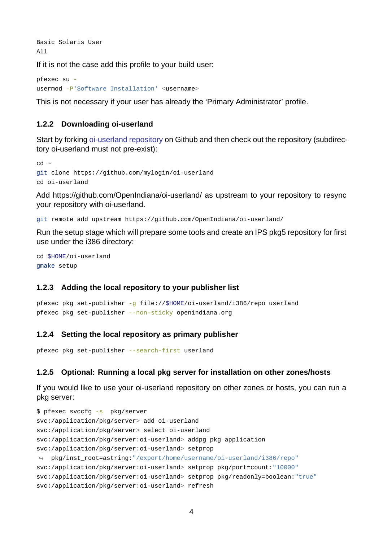Basic Solaris User All

If it is not the case add this profile to your build user:

pfexec su usermod -P'Software Installation' <username>

This is not necessary if your user has already the 'Primary Administrator' profile.

#### **1.2.2 Downloading oi-userland**

<span id="page-3-0"></span>Start by forking oi-userland repository on Github and then check out the repository (subdirectory oi-userland must not pre-exist):

```
cd ~
s://github.com/mylogin/oi-userland
cd oi-userland
```
Add https://github.com/OpenIndiana/oi-userland/ as upstream to your repository to resync your repository with oi-userland.

```
git remote add upstream https://github.com/OpenIndiana/oi-userland/
```
Run the setup stage which will prepare some tools and create an IPS pkg5 repository for first use under the i386 directory:

```
cd $HOME/oi-userland
gmake setup
```
#### **1.2.3 Adding the local repository to your publisher list**

```
pfexec pkg set-publisher -g file://$HOME/oi-userland/i386/repo userland
pfexec pkg set-publisher --non-sticky openindiana.org
```
#### **1.2.4 Setting the local repository as primary publisher**

```
pfexec pkg set-publisher --search-first userland
```
#### <span id="page-3-2"></span>**1.2.5 Optional: Running a local pkg server for installation on other zones/hosts**

<span id="page-3-3"></span>If you would like to use your oi-userland repository on other zones or hosts, you can run a pkg server:

```
$ pfexec svccfg -s pkg/server
svc:/application/pkg/server> add oi-userland
svc:/application/pkg/server> select oi-userland
svc:/application/pkg/server:oi-userland> addpg pkg application
svc:/application/pkg/server:oi-userland> setprop
\rightarrow pkg/inst_root=astring:"/export/home/username/oi-userland/i386/repo"
svc:/application/pkg/server:oi-userland> setprop pkg/port=count:"10000"
svc:/application/pkg/server:oi-userland> setprop pkg/readonly=boolean:"true"
svc:/application/pkg/server:oi-userland> refresh
```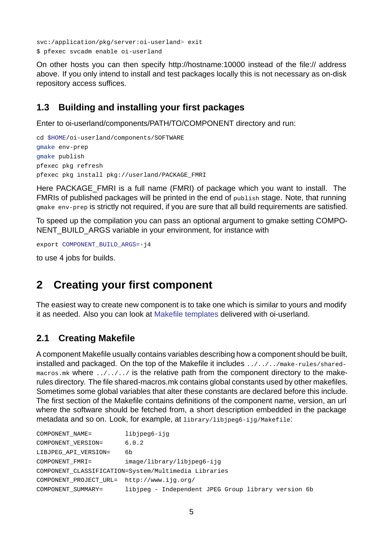svc:/application/pkg/server:oi-userland> exit \$ pfexec svcadm enable oi-userland

On other hosts you can then specify http://hostname:10000 instead of the file:// address above. If you only intend to install and test packages locally this is not necessary as on-disk repository access suffices.

# **1.3 Building and installing your first packages**

Enter to oi-userland/components/PATH/TO/COMPONENT directory and run:

```
cd $HOME/oi-userland/components/SOFTWARE
gmake env-prep
gmake publish
pfexec pkg refresh
pfexec pkg install pkg://userland/PACKAGE_FMRI
```
Here PACKAGE FMRI is a full name (FMRI) of package which you want to install. The FMRIs of published packages will be printed in the end of publish stage. Note, that running gmake env-prep is strictly not required, if you are sure that all build requirements are satisfied.

To speed up the compilation you can pass an optional argument to gmake setting COMPO-NENT\_BUILD\_ARGS variable in your environment, for instance with

```
export COMPONENT_BUILD_ARGS=-j4
```
to use 4 jobs for builds.

# **2 Creating your first component**

<span id="page-4-1"></span>The easiest way to create new component is to take one which is similar to yours and modify it as needed. Also you can look at Makefile templates delivered with oi-userland.

# **2.1 Creating Makefile**

<span id="page-4-2"></span>A component Makefile usually contains variables describing how a component should be built, installed and packaged. On the top of the Makefile it includes ../../../makerules/sharedmacros.mk where ../../../ is the relative path from the component directory to the makerules directory. The file shared-macros.mk contains global constants used by other makefiles. Sometimes some global variables that alter these constants are declared before this include. The first section of the Makefile contains definitions of the component name, version, an url where the software should be fetched from, a short description embedded in the package metadata and so on. Look, for example, at library/libjpeg6-ijg/Makefile:

| COMPONENT NAME=                                      | libjpeg6-ijg                                        |  |  |  |  |  |
|------------------------------------------------------|-----------------------------------------------------|--|--|--|--|--|
| COMPONENT VERSION=                                   | 6.0.2                                               |  |  |  |  |  |
| LIBJPEG API VERSION=                                 | 6b                                                  |  |  |  |  |  |
| COMPONENT FMRI=                                      | image/library/libjpeg6-ijg                          |  |  |  |  |  |
| COMPONENT_CLASSIFICATION=System/Multimedia Libraries |                                                     |  |  |  |  |  |
| COMPONENT_PROJECT_URL= http://www.ijg.org/           |                                                     |  |  |  |  |  |
| COMPONENT SUMMARY=                                   | libjpeg - Independent JPEG Group library version 6b |  |  |  |  |  |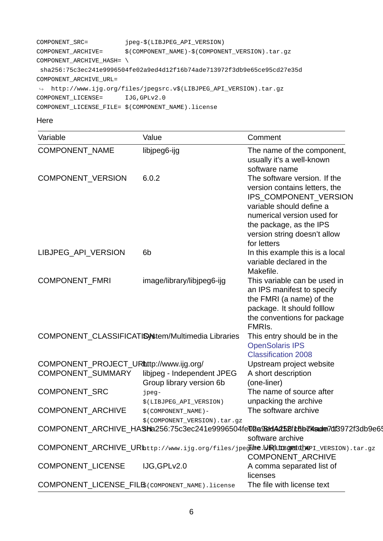```
COMPONENT_SRC= jpeg-$(LIBJPEG_API_VERSION)
COMPONENT_ARCHIVE= $(COMPONENT\_NAME) - $(COMPONENT\_VERSION) .tar.gzCOMPONENT_ARCHIVE_HASH= \
 sha256:75c3ec241e9996504fe02a9ed4d12f16b74ade713972f3db9e65ce95cd27e35d
COMPONENT_ARCHIVE_URL=
↪ http://www.ijg.org/files/jpegsrc.v$(LIBJPEG_API_VERSION).tar.gz
COMPONENT_LICENSE= IJG,GPLv2.0
COMPONENT_LICENSE_FILE= $(COMPONENT_NAME).license
```
Here

| Variable                                          | Value                                             | Comment                                                                                 |
|---------------------------------------------------|---------------------------------------------------|-----------------------------------------------------------------------------------------|
| <b>COMPONENT NAME</b>                             | libjpeg6-ijg                                      | The name of the component,<br>usually it's a well-known                                 |
|                                                   |                                                   | software name                                                                           |
| COMPONENT_VERSION                                 | 6.0.2                                             | The software version. If the                                                            |
|                                                   |                                                   | version contains letters, the                                                           |
|                                                   |                                                   | IPS COMPONENT VERSION                                                                   |
|                                                   |                                                   | variable should define a                                                                |
|                                                   |                                                   | numerical version used for                                                              |
|                                                   |                                                   | the package, as the IPS                                                                 |
|                                                   |                                                   | version string doesn't allow                                                            |
|                                                   |                                                   | for letters                                                                             |
| LIBJPEG_API_VERSION                               | 6 <sub>b</sub>                                    | In this example this is a local<br>variable declared in the                             |
|                                                   |                                                   | Makefile.                                                                               |
| <b>COMPONENT FMRI</b>                             | image/library/libjpeg6-ijg                        | This variable can be used in                                                            |
|                                                   |                                                   | an IPS manifest to specify                                                              |
|                                                   |                                                   | the FMRI (a name) of the                                                                |
|                                                   |                                                   | package. It should folllow                                                              |
|                                                   |                                                   | the conventions for package                                                             |
|                                                   |                                                   | FMRIS.                                                                                  |
|                                                   | COMPONENT CLASSIFICATISystem/Multimedia Libraries | This entry should be in the                                                             |
|                                                   |                                                   | <b>OpenSolaris IPS</b>                                                                  |
|                                                   |                                                   | <b>Classification 2008</b>                                                              |
| COMPONENT PROJECT URLttp://www.ijg.org/           |                                                   | Upstream project website                                                                |
| COMPONENT SUMMARY                                 | libjpeg - Independent JPEG                        | A short description                                                                     |
|                                                   | Group library version 6b                          | (one-liner)                                                                             |
| COMPONENT_SRC                                     | jpeg-                                             | The name of source after                                                                |
|                                                   | \$(LIBJPEG_API_VERSION)                           | unpacking the archive                                                                   |
| <b>COMPONENT ARCHIVE</b>                          | \$(COMPONENT_NAME)-                               | The software archive                                                                    |
|                                                   | \$(COMPONENT_VERSION).tar.gz                      |                                                                                         |
|                                                   |                                                   | COMPONENT_ARCHIVE_HASha256:75c3ec241e9996504fe@Da9ddAd5D6fcBb7ksade7df3972f3db9e65ce    |
|                                                   |                                                   | software archive                                                                        |
|                                                   |                                                   | COMPONENT ARCHIVE URbttp://www.ijg.org/files/jpegshe.URILIDE.greatdhepi_vERSION).tar.gz |
|                                                   |                                                   | COMPONENT_ARCHIVE                                                                       |
| COMPONENT_LICENSE                                 | IJG, GPL v2.0                                     | A comma separated list of                                                               |
|                                                   |                                                   | licenses                                                                                |
| COMPONENT LICENSE FILES (COMPONENT_NAME). license | The file with license text                        |                                                                                         |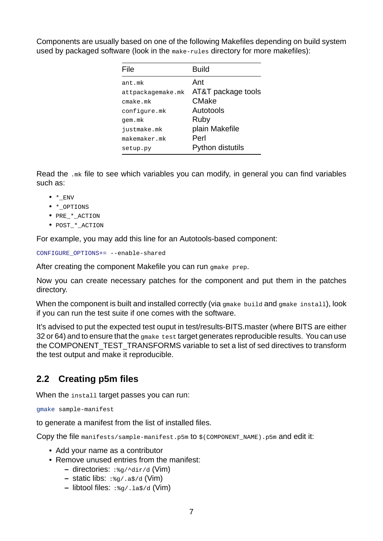Components are usually based on one of the following Makefiles depending on build system used by packaged software (look in the make-rules directory for more makefiles):

| File              | <b>Build</b>       |
|-------------------|--------------------|
| ant.mk            | Ant                |
| attpackagemake.mk | AT&T package tools |
| cmake.mk          | CMake              |
| configure.mk      | Autotools          |
| gem.mk            | Ruby               |
| justmake.mk       | plain Makefile     |
| makemaker.mk      | Perl               |
| setup.py          | Python distutils   |

Read the .mk file to see which variables you can modify, in general you can find variables such as:

- $\bullet$  \* ENV
- \*\_OPTIONS
- PRE \* ACTION
- POST \* ACTION

For example, you may add this line for an Autotools-based component:

CONFIGURE OPTIONS+= --enable-shared

After creating the component Makefile you can run gmake prep.

Now you can create necessary patches for the component and put them in the patches directory.

When the component is built and installed correctly (via gmake build and gmake install), look if you can run the test suite if one comes with the software.

It's advised to put the expected test ouput in test/results-BITS.master (where BITS are either 32 or 64) and to ensure that the gmake test target generates reproducible results. You can use the COMPONENT TEST TRANSFORMS variable to set a list of sed directives to transform the test output and make it reproducible.

# <span id="page-6-0"></span>**2.2 Creating p5m files**

When the install target passes you can run:

gmake sample-manifest

to generate a manifest from the list of installed files.

Copy the file manifests/sample-manifest.p5m to \$(COMPONENT\_NAME).p5m and edit it:

- Add your name as a contributor
- Remove unused entries from the manifest:
	- **–** directories: :%g/^dir/d (Vim)
	- **–** static libs: :%g/.a\$/d (Vim)
	- **–** libtool files: :%g/.la\$/d (Vim)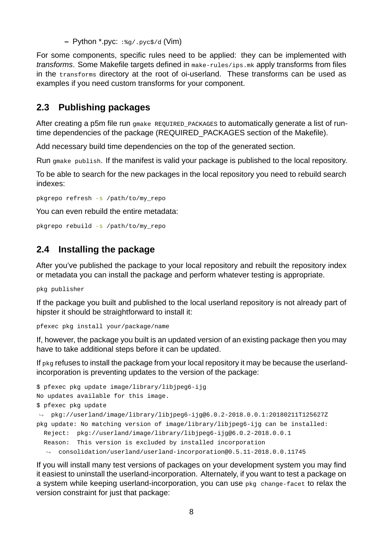**–** Python \*.pyc: :%g/.pyc\$/d (Vim)

For some components, specific rules need to be applied: they can be implemented with *transforms*. Some Makefile targets defined in make-rules/ips.mk apply transforms from files in the transforms directory at the root of oi-userland. These transforms can be used as examples if you need custom transforms for your component.

# <span id="page-7-0"></span>**2.3 Publishing packages**

After creating a p5m file run gmake REQUIRED PACKAGES to automatically generate a list of runtime dependencies of the package (REQUIRED\_PACKAGES section of the Makefile).

Add necessary build time dependencies on the top of the generated section.

Run gmake publish. If the manifest is valid your package is published to the local repository.

To be able to search for the new packages in the local repository you need to rebuild search indexes:

pkgrepo refresh -s /path/to/my\_repo

You can even rebuild the entire metadata:

 $pkgreen$  rebuild  $-s$  /path/to/my\_repo

# <span id="page-7-1"></span>**2.4 Installing the package**

After you've published the package to your local repository and rebuilt the repository index or metadata you can install the package and perform whatever testing is appropriate.

pkg publisher

If the package you built and published to the local userland repository is not already part of hipster it should be straightforward to install it:

```
pfexec pkg install your/package/name
```
If, however, the package you built is an updated version of an existing package then you may have to take additional steps before it can be updated.

If pkg refuses to install the package from your local repository it may be because the userlandincorporation is preventing updates to the version of the package:

```
$ pfexec pkg update image/library/libjpeg6-ijg
No updates available for this image.
$ pfexec pkg update
\rightarrow pkg://userland/image/library/libjpeg6-ijg@6.0.2-2018.0.0.1:20180211T125627Z
pkg update: No matching version of image/library/libjpeg6-ijg can be installed:
  Reject: pkg://userland/image/library/libjpeg6-ijg@6.0.2-2018.0.0.1
  Reason: This version is excluded by installed incorporation
  \rightarrow consolidation/userland/userland-incorporation@0.5.11-2018.0.0.11745
```
If you will install many test versions of packages on your development system you may find it easiest to uninstall the userland-incorporation. Alternately, if you want to test a package on a system while keeping userland-incorporation, you can use pkg change-facet to relax the version constraint for just that package: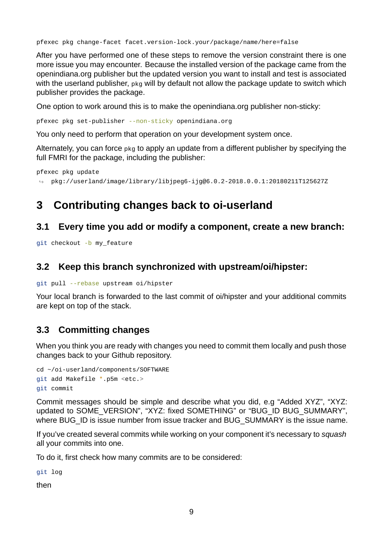pfexec pkg change-facet facet.version-lock.your/package/name/here=false

After you have performed one of these steps to remove the version constraint there is one more issue you may encounter. Because the installed version of the package came from the openindiana.org publisher but the updated version you want to install and test is associated with the userland publisher, pkg will by default not allow the package update to switch which publisher provides the package.

One option to work around this is to make the openindiana.org publisher non-sticky:

pfexec pkg set-publisher --non-sticky openindiana.org

You only need to perform that operation on your development system once.

Alternately, you can force pkg to apply an update from a different publisher by specifying the full FMRI for the package, including the publisher:

pfexec pkg update

```
\rightarrow pkg://userland/image/library/libjpeg6-ijg@6.0.2-2018.0.0.1:20180211T125627Z
```
# <span id="page-8-0"></span>**3** Contributing changes back to oi-userland

### <span id="page-8-1"></span>**3.1 Every time you add or modify a component, create a new branch:**

git checkout -b my feature

## <span id="page-8-2"></span>**3.2 Keep this branch synchronized with upstream/oi/hipster:**

```
git pull --rebase upstream oi/hipster
```
Your local branch is forwarded to the last commit of oi/hipster and your additional commits are kept on top of the stack.

## **3.3 Committing changes**

When you think you are ready with changes you need to commit them locally and push those changes back to your Github repository.

```
cd ~/oi-userland/components/SOFTWARE
git add Makefile *.p5m <etc.>
git commit
```
Commit messages should be simple and describe what you did, e.g "Added XYZ", "XYZ: updated to SOME\_VERSION", "XYZ: fixed SOMETHING" or "BUG\_ID BUG\_SUMMARY", where BUG ID is issue number from issue tracker and BUG SUMMARY is the issue name.

If you've created several commits while working on your component it's necessary to *squash* all your commits into one.

To do it, first check how many commits are to be considered:

git log

then